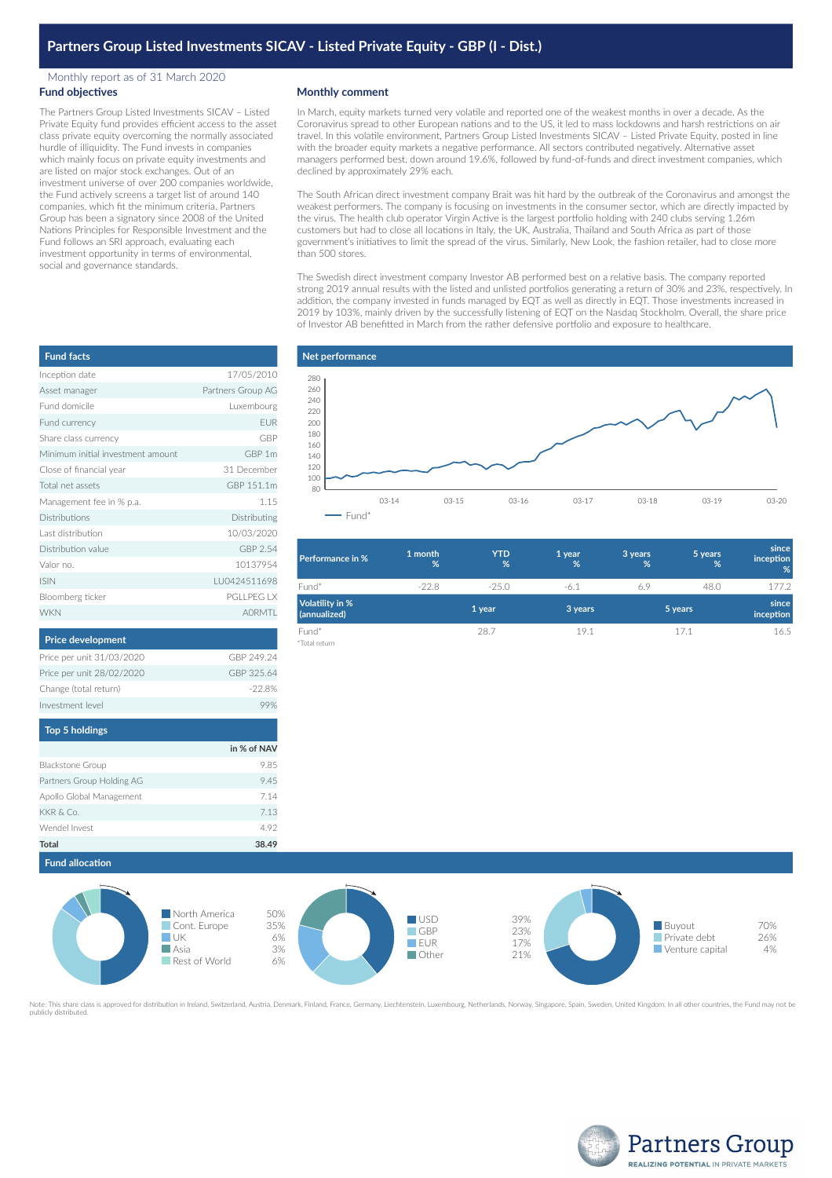# **Partners Group Listed Investments SICAV - Listed Private Equity - GBP (I - Dist.)**

#### Monthly report as of 31 March 2020 **Fund objectives**

The Partners Group Listed Investments SICAV – Listed Private Equity fund provides efficient access to the asset class private equity overcoming the normally associated hurdle of illiquidity. The Fund invests in companies which mainly focus on private equity investments and are listed on major stock exchanges. Out of an investment universe of over 200 companies worldwide, the Fund actively screens a target list of around 140 companies, which fit the minimum criteria. Partners Group has been a signatory since 2008 of the United Nations Principles for Responsible Investment and the Fund follows an SRI approach, evaluating each investment opportunity in terms of environmental, social and governance standards.

### **Monthly comment**

In March, equity markets turned very volatile and reported one of the weakest months in over a decade. As the Coronavirus spread to other European nations and to the US, it led to mass lockdowns and harsh restrictions on air travel. In this volatile environment, Partners Group Listed Investments SICAV – Listed Private Equity, posted in line with the broader equity markets a negative performance. All sectors contributed negatively. Alternative asset managers performed best, down around 19.6%, followed by fund-of-funds and direct investment companies, which declined by approximately 29% each.

The South African direct investment company Brait was hit hard by the outbreak of the Coronavirus and amongst the weakest performers. The company is focusing on investments in the consumer sector, which are directly impacted by the virus. The health club operator Virgin Active is the largest portfolio holding with 240 clubs serving 1.26m customers but had to close all locations in Italy, the UK, Australia, Thailand and South Africa as part of those government's initiatives to limit the spread of the virus. Similarly, New Look, the fashion retailer, had to close more than 500 stores.

The Swedish direct investment company Investor AB performed best on a relative basis. The company reported strong 2019 annual results with the listed and unlisted portfolios generating a return of 30% and 23%, respectively. In addition, the company invested in funds managed by EQT as well as directly in EQT. Those investments increased in 2019 by 103%, mainly driven by the successfully listening of EQT on the Nasdaq Stockholm. Overall, the share price of Investor AB benefitted in March from the rather defensive portfolio and exposure to healthcare.



| <b>Performance in %</b>                | 1 month<br>% | <b>YTD</b><br>% | 1 year<br>% | 3 years<br>% | 5 years<br>% | since<br>inception<br>% |
|----------------------------------------|--------------|-----------------|-------------|--------------|--------------|-------------------------|
| Fund*                                  | $-22.8$      | $-25.0$         | $-6.1$      | 6.9          | 48.0         | 177.2                   |
| <b>Volatility in %</b><br>(annualized) |              | 1 year          | 3 years     |              | 5 years      | since<br>inception      |
| Fund*                                  |              | 28.7            | 19.1        |              | 17.1         | 16.5                    |
| *Total return                          |              |                 |             |              |              |                         |

| <b>Fund facts</b>                 |                   |
|-----------------------------------|-------------------|
| Inception date                    | 17/05/2010        |
| Asset manager                     | Partners Group AG |
| Fund domicile                     | Luxembourg        |
| Fund currency                     | <b>EUR</b>        |
| Share class currency              | GBP               |
| Minimum initial investment amount | GBP 1m            |
| Close of financial year           | 31 December       |
| Total net assets                  | GBP 151.1m        |
| Management fee in % p.a.          | 1.15              |
| <b>Distributions</b>              | Distributing      |
| Last distribution                 | 10/03/2020        |
| Distribution value                | GBP 2.54          |
| Valor no.                         | 10137954          |
| <b>ISIN</b>                       | IU0424511698      |
| Bloomberg ticker                  | PGI I PFG I X     |
| <b>WKN</b>                        | <b>AORMTI</b>     |
| <b>Price development</b>          |                   |
| Price per unit 31/03/2020         | GBP 249.24        |
| Price per unit 28/02/2020         | GBP 325.64        |
| Change (total return)             | $-22.8%$          |
| Investment level                  | 99%               |
| <b>Top 5 holdings</b>             |                   |

|                           | in % of NAV |
|---------------------------|-------------|
| <b>Blackstone Group</b>   | 9.85        |
| Partners Group Holding AG | 9.45        |
| Apollo Global Management  | 7.14        |
| KKR & Co.                 | 7.13        |
| Wendel Invest             | 4.92        |
| Total                     | 38.49       |

## **Fund allocation**



Note: This share class is approved for distribution in Ireland, Switzerland, Austria, Denmark, Finland, France, Germany, Liechtenstein, Luxembourg, Netherlands, Norway, Singapore, Spain, Sweden, United Kingdom. In all othe publicly distributed.